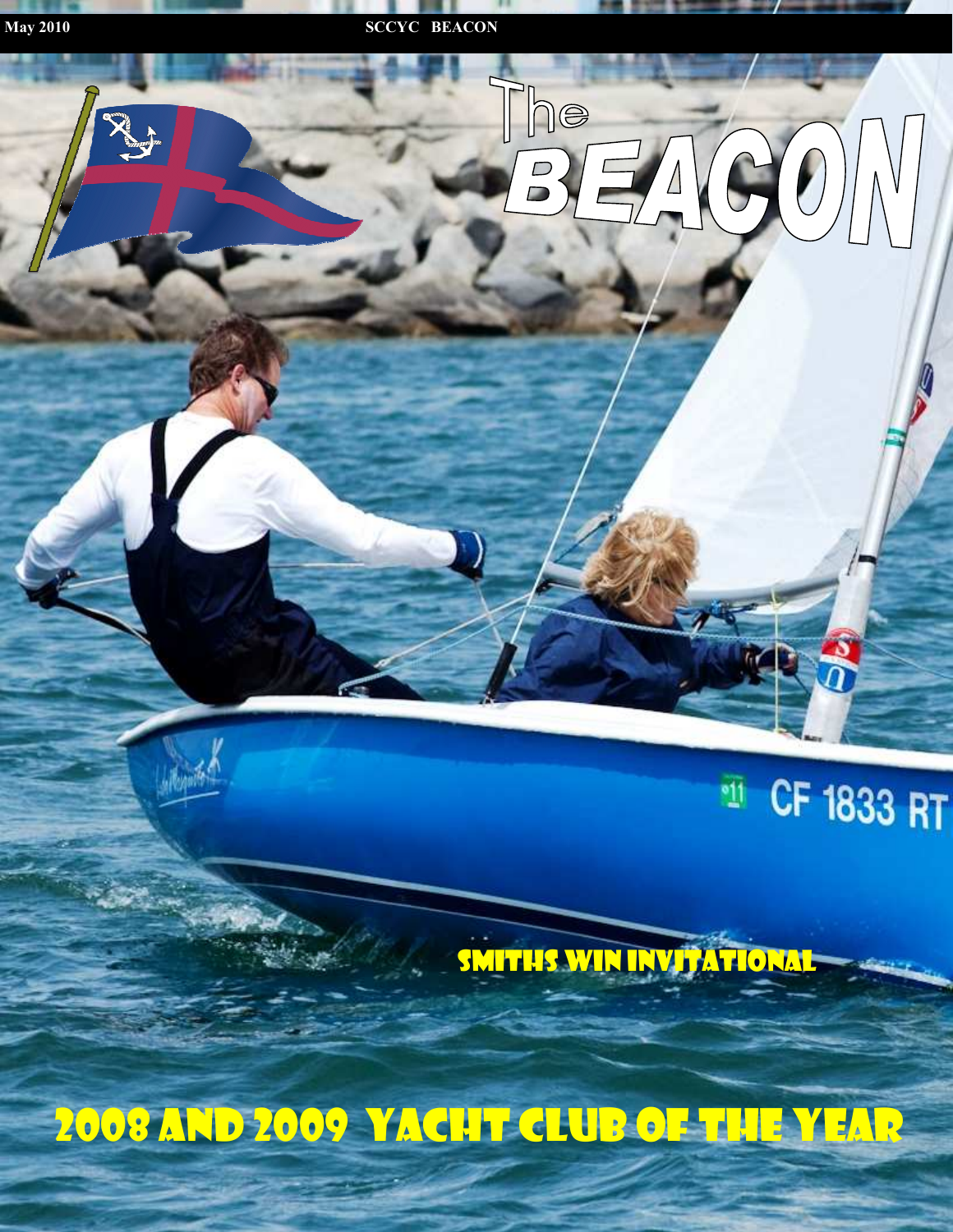



### CF 1833 RT  $\overline{\mathbf{u}}$

SMITHS WIN INVITATIONAL

2008 and 2009 Yacht Club of the Year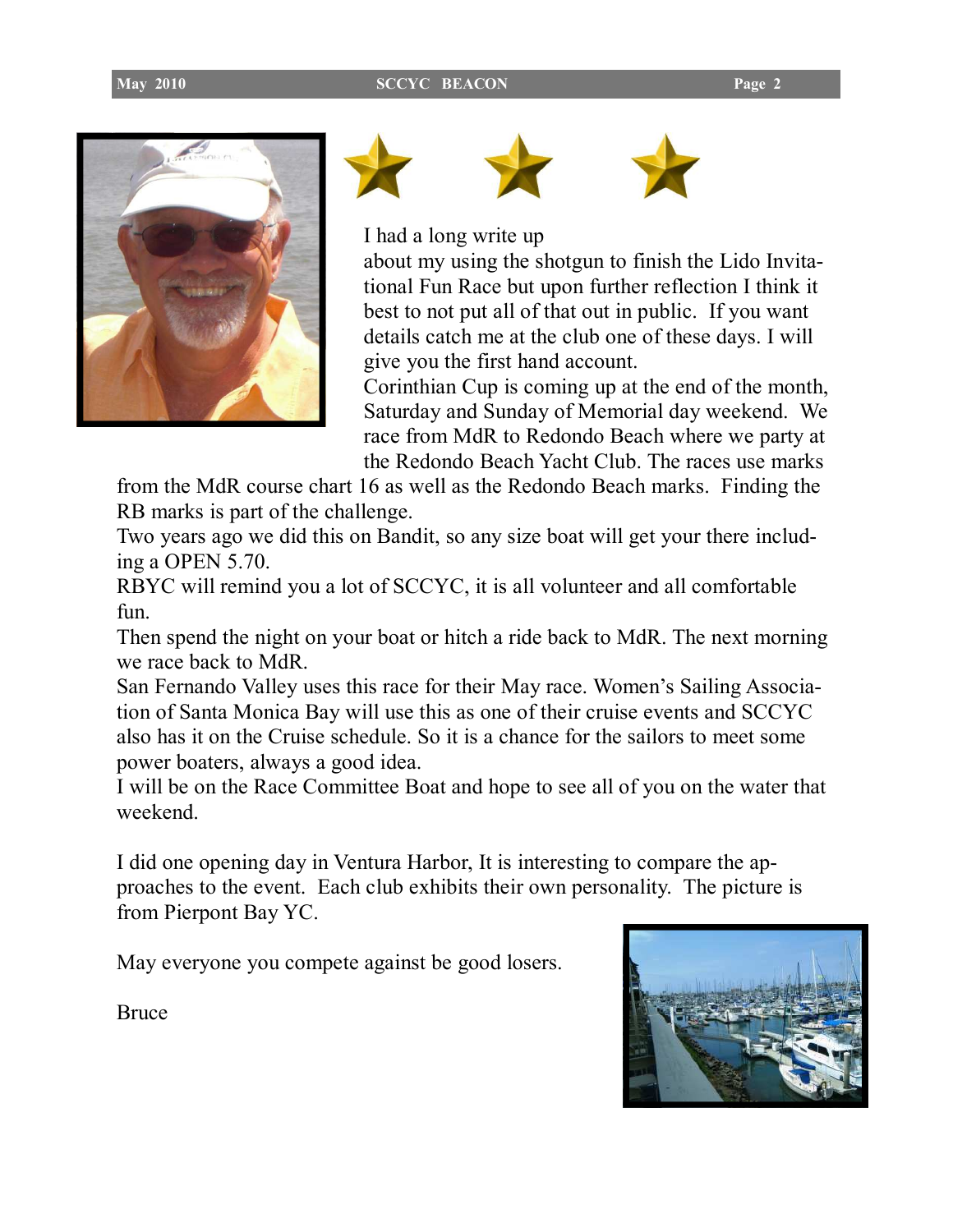







I had a long write up

about my using the shotgun to finish the Lido Invitational Fun Race but upon further reflection I think it best to not put all of that out in public. If you want details catch me at the club one of these days. I will give you the first hand account.

Corinthian Cup is coming up at the end of the month, Saturday and Sunday of Memorial day weekend. We race from MdR to Redondo Beach where we party at the Redondo Beach Yacht Club. The races use marks

from the MdR course chart 16 as well as the Redondo Beach marks. Finding the RB marks is part of the challenge.

Two years ago we did this on Bandit, so any size boat will get your there including a OPEN 5.70.

RBYC will remind you a lot of SCCYC, it is all volunteer and all comfortable fun.

Then spend the night on your boat or hitch a ride back to MdR. The next morning we race back to MdR

San Fernando Valley uses this race for their May race. Women's Sailing Association of Santa Monica Bay will use this as one of their cruise events and SCCYC also has it on the Cruise schedule. So it is a chance for the sailors to meet some power boaters, always a good idea.

I will be on the Race Committee Boat and hope to see all of you on the water that weekend.

I did one opening day in Ventura Harbor, It is interesting to compare the approaches to the event. Each club exhibits their own personality. The picture is from Pierpont Bay YC.

May everyone you compete against be good losers.



Bruce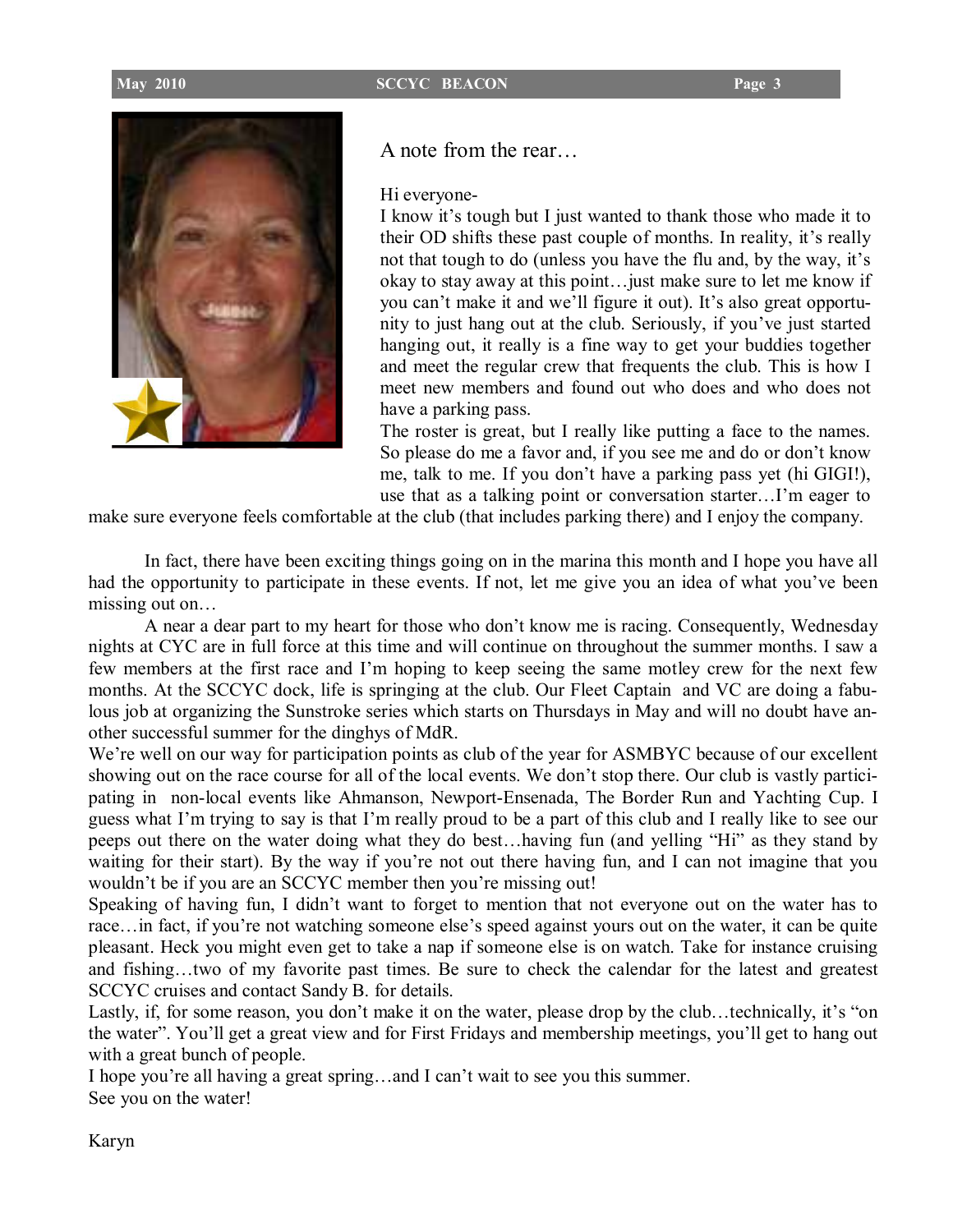

A note from the rear…

Hi everyone-

I know it's tough but I just wanted to thank those who made it to their OD shifts these past couple of months. In reality, it's really not that tough to do (unless you have the flu and, by the way, it's okay to stay away at this point…just make sure to let me know if you can't make it and we'll figure it out). It's also great opportunity to just hang out at the club. Seriously, if you've just started hanging out, it really is a fine way to get your buddies together and meet the regular crew that frequents the club. This is how I meet new members and found out who does and who does not have a parking pass.

The roster is great, but I really like putting a face to the names. So please do me a favor and, if you see me and do or don't know me, talk to me. If you don't have a parking pass yet (hi GIGI!), use that as a talking point or conversation starter…I'm eager to

make sure everyone feels comfortable at the club (that includes parking there) and I enjoy the company.

In fact, there have been exciting things going on in the marina this month and I hope you have all had the opportunity to participate in these events. If not, let me give you an idea of what you've been missing out on…

 A near a dear part to my heart for those who don't know me is racing. Consequently, Wednesday nights at CYC are in full force at this time and will continue on throughout the summer months. I saw a few members at the first race and I'm hoping to keep seeing the same motley crew for the next few months. At the SCCYC dock, life is springing at the club. Our Fleet Captain and VC are doing a fabulous job at organizing the Sunstroke series which starts on Thursdays in May and will no doubt have another successful summer for the dinghys of MdR.

We're well on our way for participation points as club of the year for ASMBYC because of our excellent showing out on the race course for all of the local events. We don't stop there. Our club is vastly participating in non-local events like Ahmanson, Newport-Ensenada, The Border Run and Yachting Cup. I guess what I'm trying to say is that I'm really proud to be a part of this club and I really like to see our peeps out there on the water doing what they do best…having fun (and yelling "Hi" as they stand by waiting for their start). By the way if you're not out there having fun, and I can not imagine that you wouldn't be if you are an SCCYC member then you're missing out!

Speaking of having fun, I didn't want to forget to mention that not everyone out on the water has to race…in fact, if you're not watching someone else's speed against yours out on the water, it can be quite pleasant. Heck you might even get to take a nap if someone else is on watch. Take for instance cruising and fishing…two of my favorite past times. Be sure to check the calendar for the latest and greatest SCCYC cruises and contact Sandy B. for details.

Lastly, if, for some reason, you don't make it on the water, please drop by the club…technically, it's "on the water". You'll get a great view and for First Fridays and membership meetings, you'll get to hang out with a great bunch of people.

I hope you're all having a great spring…and I can't wait to see you this summer. See you on the water!

Karyn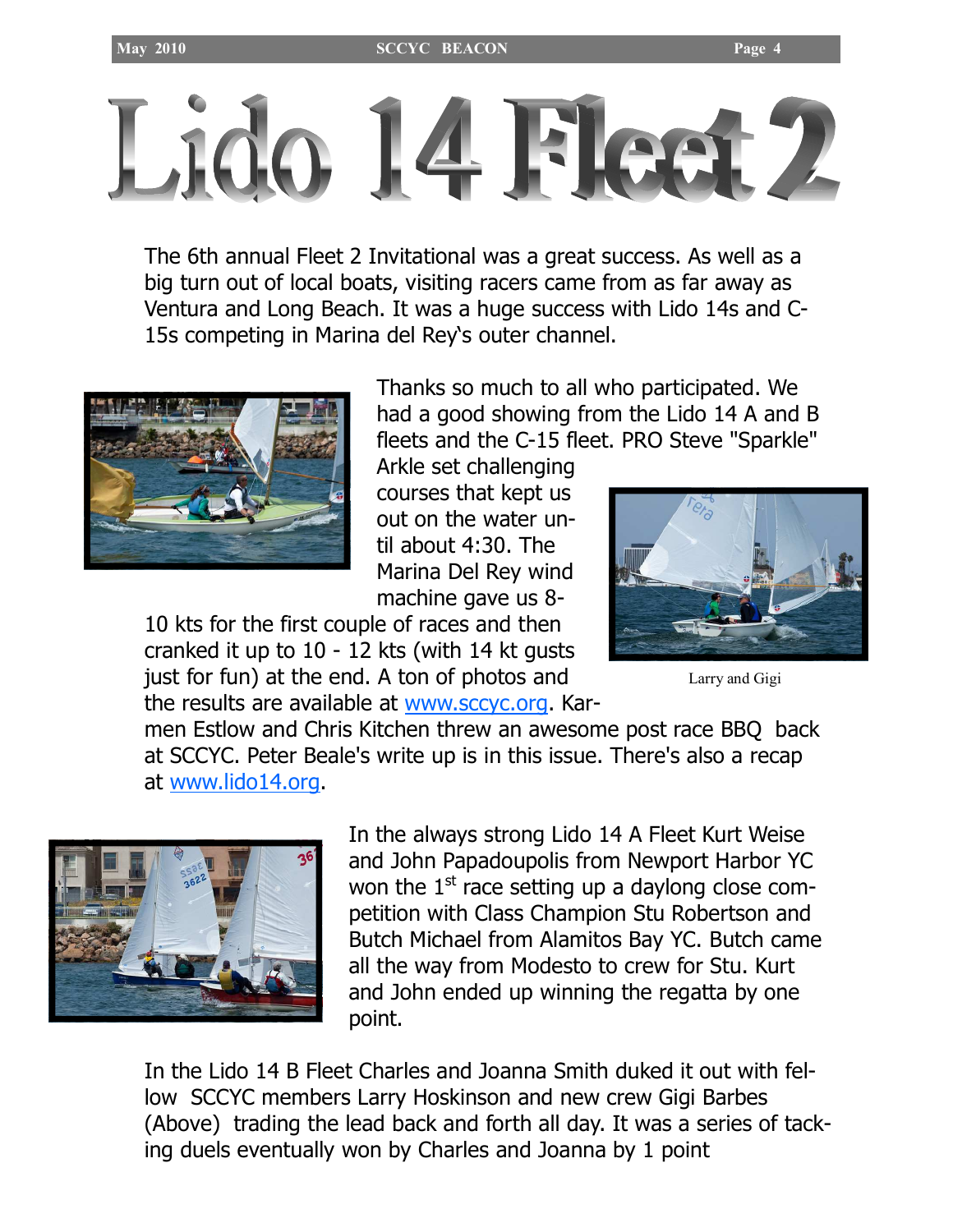

The 6th annual Fleet 2 Invitational was a great success. As well as a big turn out of local boats, visiting racers came from as far away as Ventura and Long Beach. It was a huge success with Lido 14s and C-15s competing in Marina del Rey's outer channel.



Thanks so much to all who participated. We had a good showing from the Lido 14 A and B fleets and the C-15 fleet. PRO Steve "Sparkle"

Arkle set challenging courses that kept us out on the water until about 4:30. The Marina Del Rey wind machine gave us 8-

10 kts for the first couple of races and then cranked it up to 10 - 12 kts (with 14 kt gusts just for fun) at the end. A ton of photos and the results are available at www.sccyc.org. Kar-



Larry and Gigi

men Estlow and Chris Kitchen threw an awesome post race BBQ back at SCCYC. Peter Beale's write up is in this issue. There's also a recap at www.lido14.org.



In the always strong Lido 14 A Fleet Kurt Weise and John Papadoupolis from Newport Harbor YC won the  $1<sup>st</sup>$  race setting up a daylong close competition with Class Champion Stu Robertson and Butch Michael from Alamitos Bay YC. Butch came all the way from Modesto to crew for Stu. Kurt and John ended up winning the regatta by one point.

In the Lido 14 B Fleet Charles and Joanna Smith duked it out with fellow SCCYC members Larry Hoskinson and new crew Gigi Barbes (Above) trading the lead back and forth all day. It was a series of tacking duels eventually won by Charles and Joanna by 1 point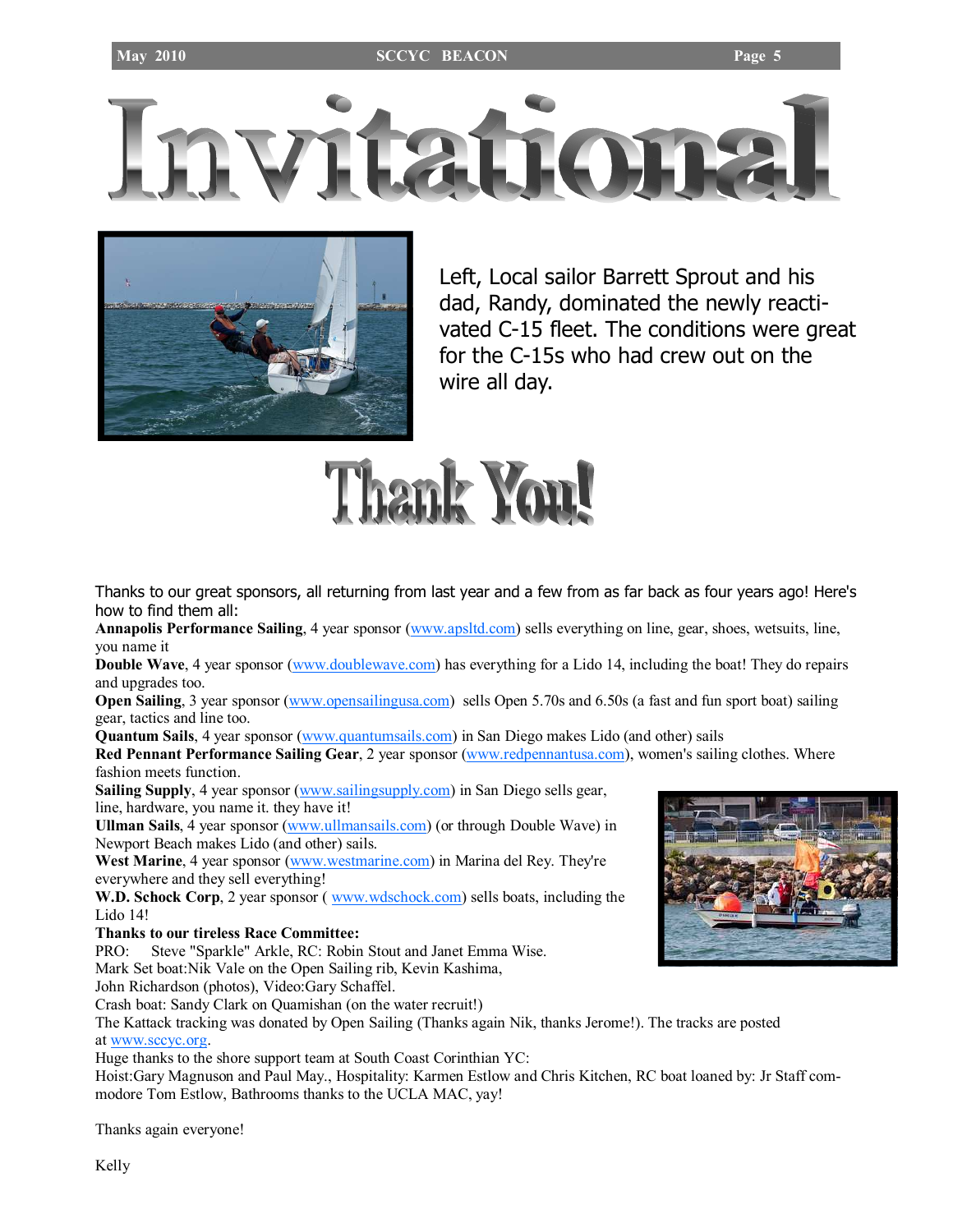



Left, Local sailor Barrett Sprout and his dad, Randy, dominated the newly reactivated C-15 fleet. The conditions were great for the C-15s who had crew out on the wire all day.



Thanks to our great sponsors, all returning from last year and a few from as far back as four years ago! Here's how to find them all:

Annapolis Performance Sailing, 4 year sponsor (www.apsltd.com) sells everything on line, gear, shoes, wetsuits, line, you name it

Double Wave, 4 year sponsor (www.doublewave.com) has everything for a Lido 14, including the boat! They do repairs and upgrades too.

Open Sailing, 3 year sponsor (www.opensailingusa.com) sells Open 5.70s and 6.50s (a fast and fun sport boat) sailing gear, tactics and line too.

Quantum Sails, 4 year sponsor (www.quantumsails.com) in San Diego makes Lido (and other) sails

Red Pennant Performance Sailing Gear, 2 year sponsor (www.redpennantusa.com), women's sailing clothes. Where fashion meets function.

Sailing Supply, 4 year sponsor (www.sailingsupply.com) in San Diego sells gear, line, hardware, you name it. they have it!

Ullman Sails, 4 year sponsor (www.ullmansails.com) (or through Double Wave) in Newport Beach makes Lido (and other) sails.

West Marine, 4 year sponsor (www.westmarine.com) in Marina del Rey. They're everywhere and they sell everything!

W.D. Schock Corp, 2 year sponsor (*www.wdschock.com*) sells boats, including the Lido 14!

#### Thanks to our tireless Race Committee:

PRO: Steve "Sparkle" Arkle, RC: Robin Stout and Janet Emma Wise. Mark Set boat:Nik Vale on the Open Sailing rib, Kevin Kashima,

John Richardson (photos), Video:Gary Schaffel.

Crash boat: Sandy Clark on Quamishan (on the water recruit!)

The Kattack tracking was donated by Open Sailing (Thanks again Nik, thanks Jerome!). The tracks are posted at www.sccyc.org.

Huge thanks to the shore support team at South Coast Corinthian YC:

Hoist:Gary Magnuson and Paul May., Hospitality: Karmen Estlow and Chris Kitchen, RC boat loaned by: Jr Staff commodore Tom Estlow, Bathrooms thanks to the UCLA MAC, yay!

Thanks again everyone!

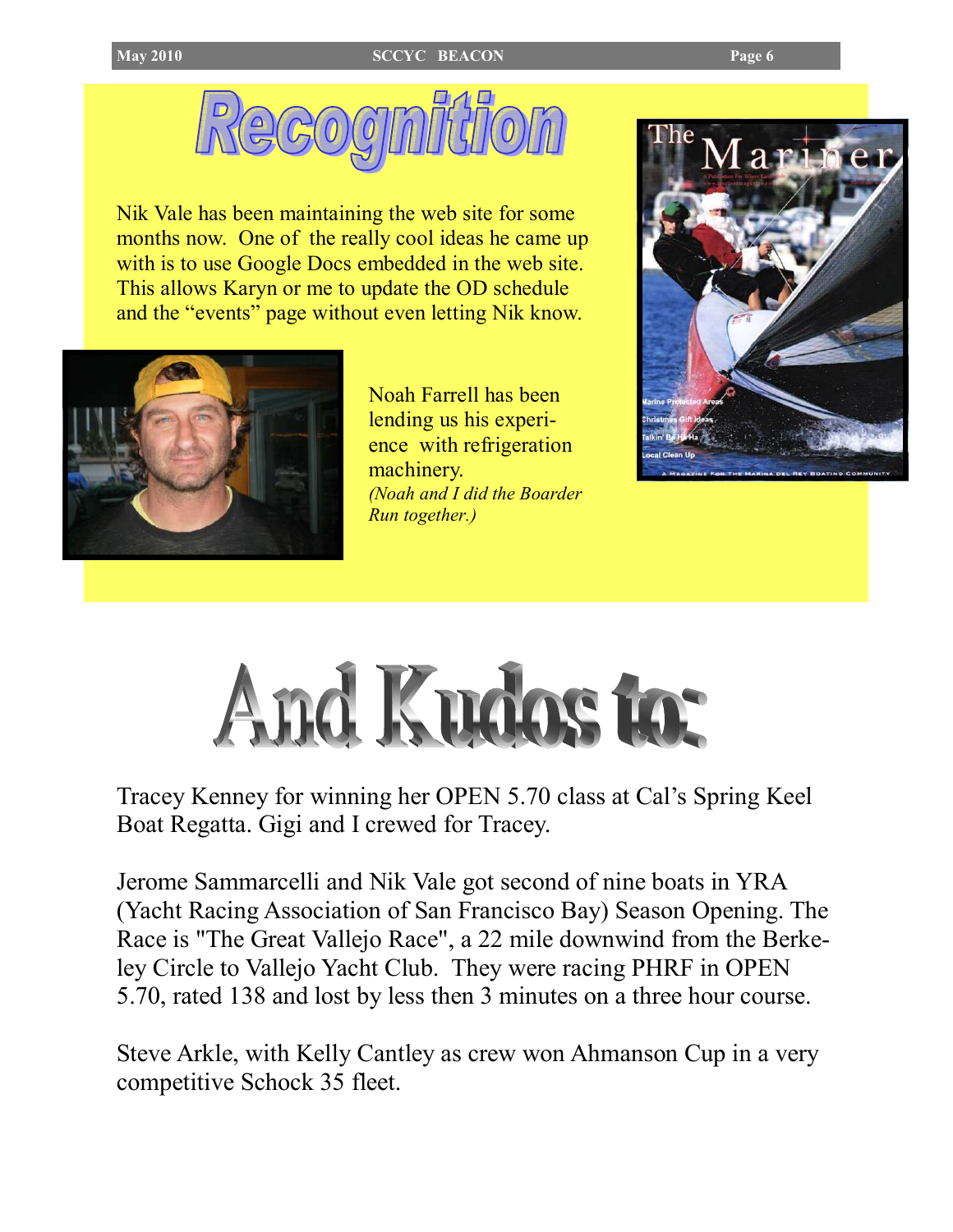

Nik Vale has been maintaining the web site for some months now. One of the really cool ideas he came up with is to use Google Docs embedded in the web site. This allows Karyn or me to update the OD schedule and the "events" page without even letting Nik know.



Noah Farrell has been lending us his experience with refrigeration machinery. (Noah and I did the Boarder Run together.)





Tracey Kenney for winning her OPEN 5.70 class at Cal's Spring Keel Boat Regatta. Gigi and I crewed for Tracey.

Jerome Sammarcelli and Nik Vale got second of nine boats in YRA (Yacht Racing Association of San Francisco Bay) Season Opening. The Race is "The Great Vallejo Race", a 22 mile downwind from the Berkeley Circle to Vallejo Yacht Club. They were racing PHRF in OPEN 5.70, rated 138 and lost by less then 3 minutes on a three hour course.

Steve Arkle, with Kelly Cantley as crew won Ahmanson Cup in a very competitive Schock 35 fleet.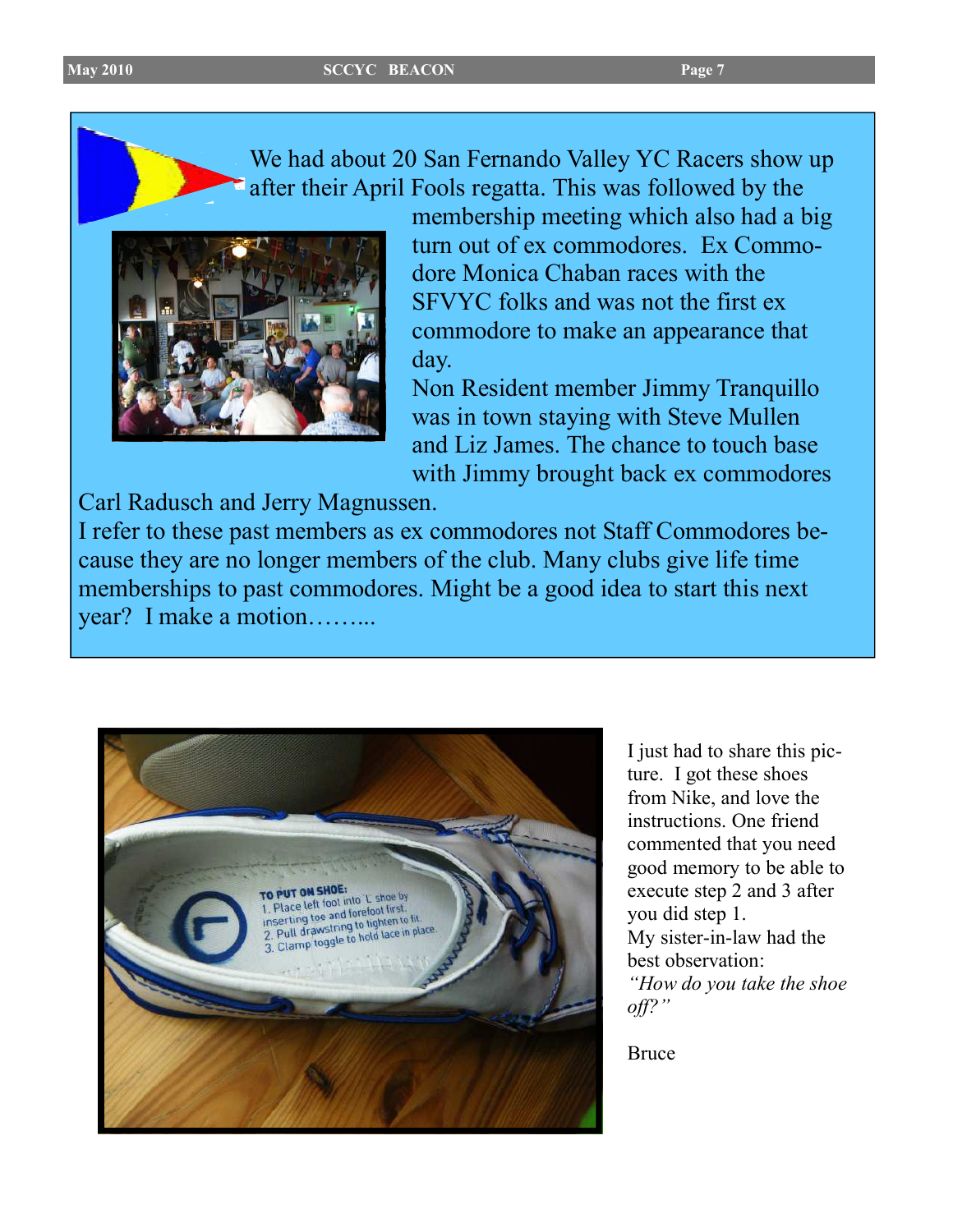We had about 20 San Fernando Valley YC Racers show up after their April Fools regatta. This was followed by the



membership meeting which also had a big turn out of ex commodores. Ex Commodore Monica Chaban races with the SFVYC folks and was not the first ex commodore to make an appearance that day.

Non Resident member Jimmy Tranquillo was in town staying with Steve Mullen and Liz James. The chance to touch base with Jimmy brought back ex commodores

Carl Radusch and Jerry Magnussen.

I refer to these past members as ex commodores not Staff Commodores because they are no longer members of the club. Many clubs give life time memberships to past commodores. Might be a good idea to start this next year? I make a motion……...



I just had to share this picture. I got these shoes from Nike, and love the instructions. One friend commented that you need good memory to be able to execute step 2 and 3 after you did step 1. My sister-in-law had the best observation: "How do you take the shoe off?"

Bruce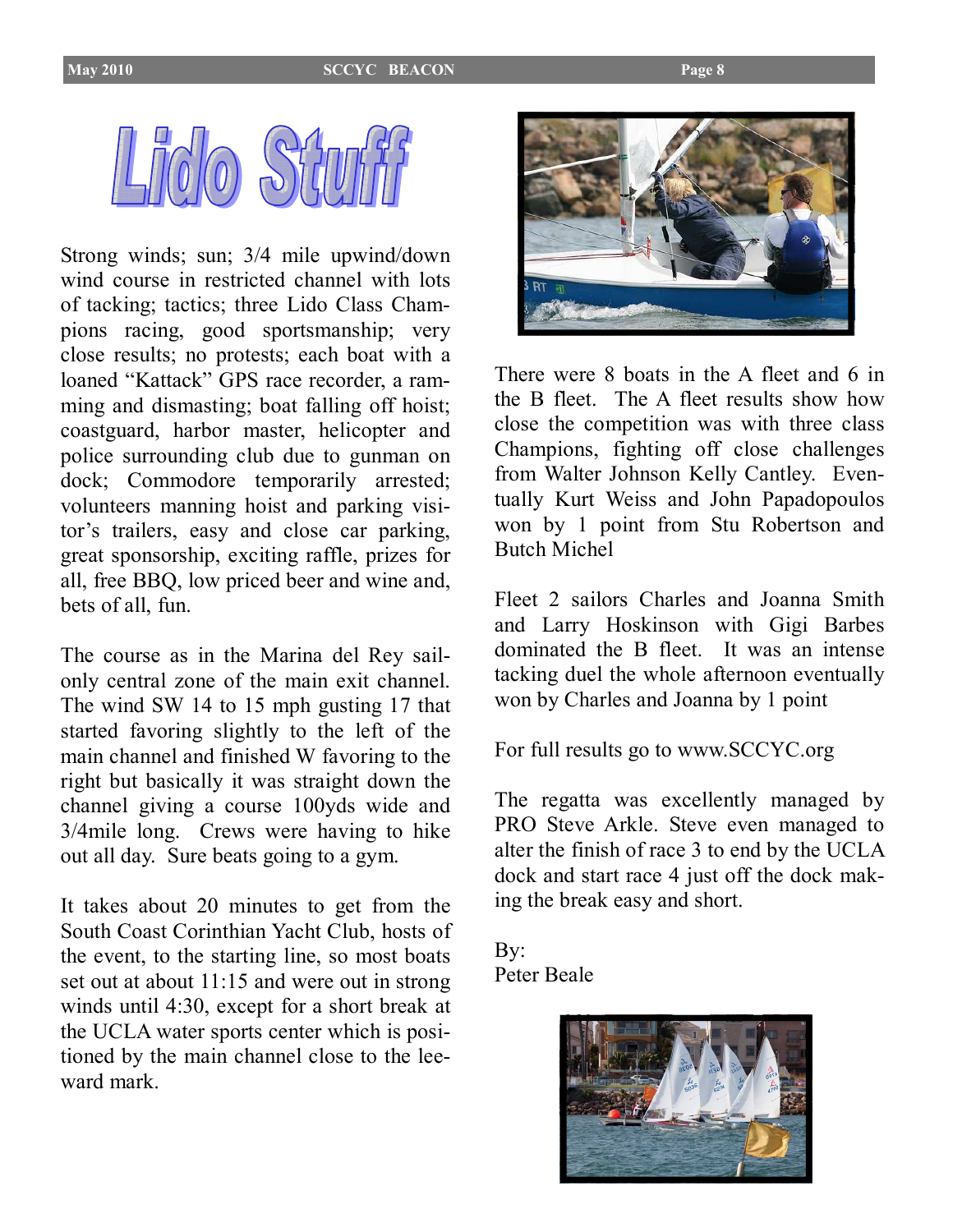

Strong winds; sun; 3/4 mile upwind/down wind course in restricted channel with lots of tacking; tactics; three Lido Class Champions racing, good sportsmanship; very close results; no protests; each boat with a loaned "Kattack" GPS race recorder, a ramming and dismasting; boat falling off hoist; coastguard, harbor master, helicopter and police surrounding club due to gunman on dock; Commodore temporarily arrested; volunteers manning hoist and parking visitor's trailers, easy and close car parking, great sponsorship, exciting raffle, prizes for all, free BBQ, low priced beer and wine and, bets of all, fun.

The course as in the Marina del Rey sailonly central zone of the main exit channel. The wind SW 14 to 15 mph gusting 17 that started favoring slightly to the left of the main channel and finished W favoring to the right but basically it was straight down the channel giving a course 100yds wide and 3/4mile long. Crews were having to hike out all day. Sure beats going to a gym.

It takes about 20 minutes to get from the South Coast Corinthian Yacht Club, hosts of the event, to the starting line, so most boats set out at about 11:15 and were out in strong winds until 4:30, except for a short break at the UCLA water sports center which is positioned by the main channel close to the leeward mark.



There were 8 boats in the A fleet and 6 in the B fleet. The A fleet results show how close the competition was with three class Champions, fighting off close challenges from Walter Johnson Kelly Cantley. Eventually Kurt Weiss and John Papadopoulos won by 1 point from Stu Robertson and Butch Michel

Fleet 2 sailors Charles and Joanna Smith and Larry Hoskinson with Gigi Barbes dominated the B fleet. It was an intense tacking duel the whole afternoon eventually won by Charles and Joanna by 1 point

For full results go to www.SCCYC.org

The regatta was excellently managed by PRO Steve Arkle. Steve even managed to alter the finish of race 3 to end by the UCLA dock and start race 4 just off the dock making the break easy and short.

By: Peter Beale